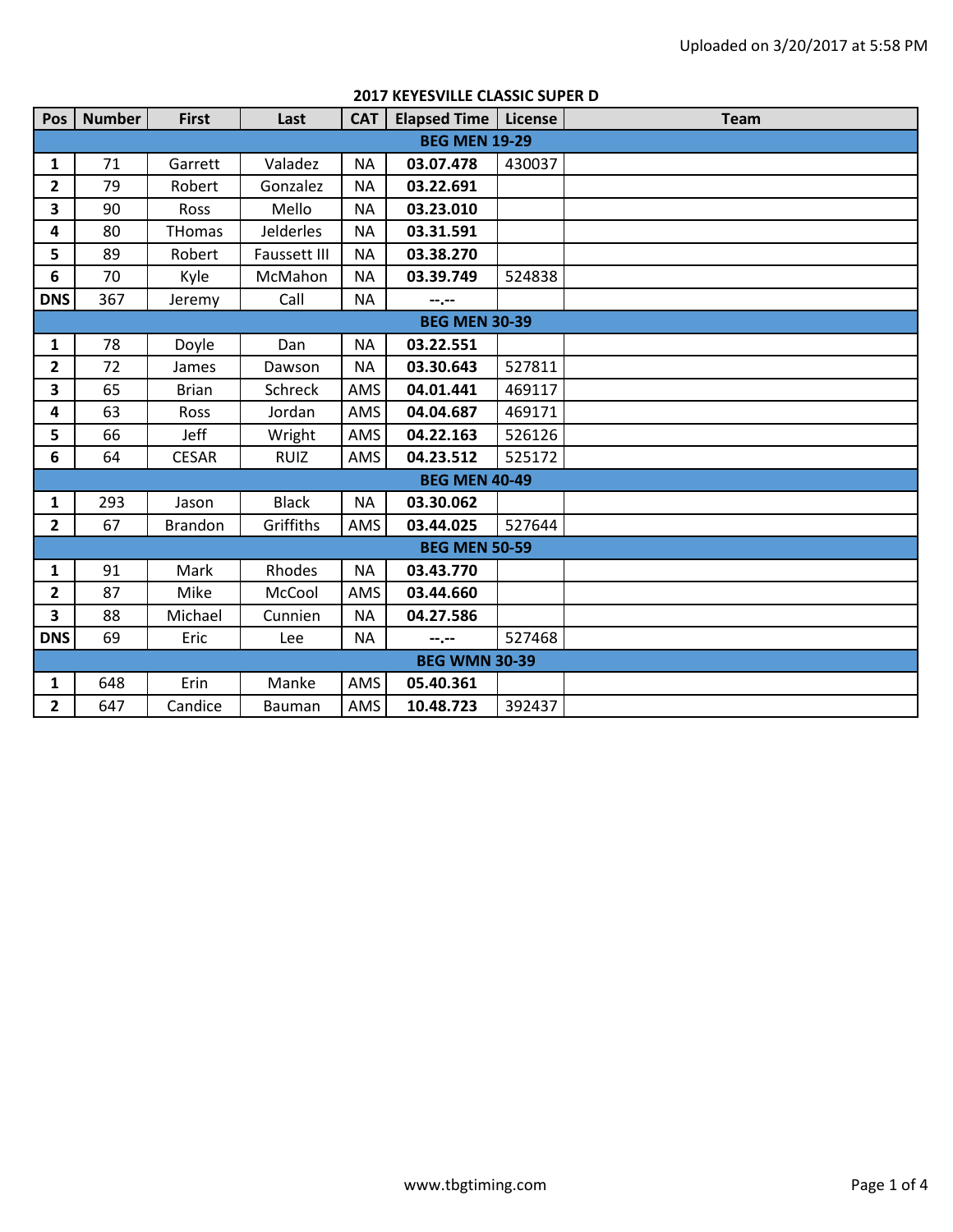| Pos                     | <b>Number</b>        | <b>First</b>   | Last                | <b>CAT</b> | <b>Elapsed Time</b>  | License | <b>Team</b> |  |  |
|-------------------------|----------------------|----------------|---------------------|------------|----------------------|---------|-------------|--|--|
| <b>BEG MEN 19-29</b>    |                      |                |                     |            |                      |         |             |  |  |
| $\mathbf{1}$            | 71                   | Garrett        | Valadez             | <b>NA</b>  | 03.07.478            | 430037  |             |  |  |
| $\overline{2}$          | 79                   | Robert         | Gonzalez            | <b>NA</b>  | 03.22.691            |         |             |  |  |
| 3                       | 90                   | Ross           | Mello               | <b>NA</b>  | 03.23.010            |         |             |  |  |
| $\overline{\mathbf{4}}$ | 80                   | <b>THomas</b>  | Jelderles           | <b>NA</b>  | 03.31.591            |         |             |  |  |
| 5                       | 89                   | Robert         | <b>Faussett III</b> | <b>NA</b>  | 03.38.270            |         |             |  |  |
| 6                       | 70                   | Kyle           | McMahon             | <b>NA</b>  | 03.39.749            | 524838  |             |  |  |
| <b>DNS</b>              | 367                  | Jeremy         | Call                | <b>NA</b>  | --.--                |         |             |  |  |
|                         | <b>BEG MEN 30-39</b> |                |                     |            |                      |         |             |  |  |
| $\mathbf{1}$            | 78                   | Doyle          | Dan                 | <b>NA</b>  | 03.22.551            |         |             |  |  |
| 2                       | 72                   | James          | Dawson              | <b>NA</b>  | 03.30.643            | 527811  |             |  |  |
| 3                       | 65                   | <b>Brian</b>   | Schreck             | AMS        | 04.01.441            | 469117  |             |  |  |
| $\overline{\mathbf{4}}$ | 63                   | Ross           | Jordan              | AMS        | 04.04.687            | 469171  |             |  |  |
| 5                       | 66                   | Jeff           | Wright              | AMS        | 04.22.163            | 526126  |             |  |  |
| 6                       | 64                   | <b>CESAR</b>   | <b>RUIZ</b>         | AMS        | 04.23.512            | 525172  |             |  |  |
|                         |                      |                |                     |            | <b>BEG MEN 40-49</b> |         |             |  |  |
| $\mathbf{1}$            | 293                  | Jason          | <b>Black</b>        | <b>NA</b>  | 03.30.062            |         |             |  |  |
| $\mathbf{2}$            | 67                   | <b>Brandon</b> | Griffiths           | AMS        | 03.44.025            | 527644  |             |  |  |
|                         |                      |                |                     |            | <b>BEG MEN 50-59</b> |         |             |  |  |
| 1                       | 91                   | Mark           | Rhodes              | <b>NA</b>  | 03.43.770            |         |             |  |  |
| $\overline{2}$          | 87                   | Mike           | McCool              | AMS        | 03.44.660            |         |             |  |  |
| 3                       | 88                   | Michael        | Cunnien             | <b>NA</b>  | 04.27.586            |         |             |  |  |
| <b>DNS</b>              | 69                   | Eric           | Lee                 | <b>NA</b>  | $-1 - 1 - 1 = 0$     | 527468  |             |  |  |
|                         | <b>BEG WMN 30-39</b> |                |                     |            |                      |         |             |  |  |
| $\mathbf{1}$            | 648                  | Erin           | Manke               | AMS        | 05.40.361            |         |             |  |  |
| $\overline{\mathbf{2}}$ | 647                  | Candice        | <b>Bauman</b>       | AMS        | 10.48.723            | 392437  |             |  |  |

## **2017 KEYESVILLE CLASSIC SUPER D**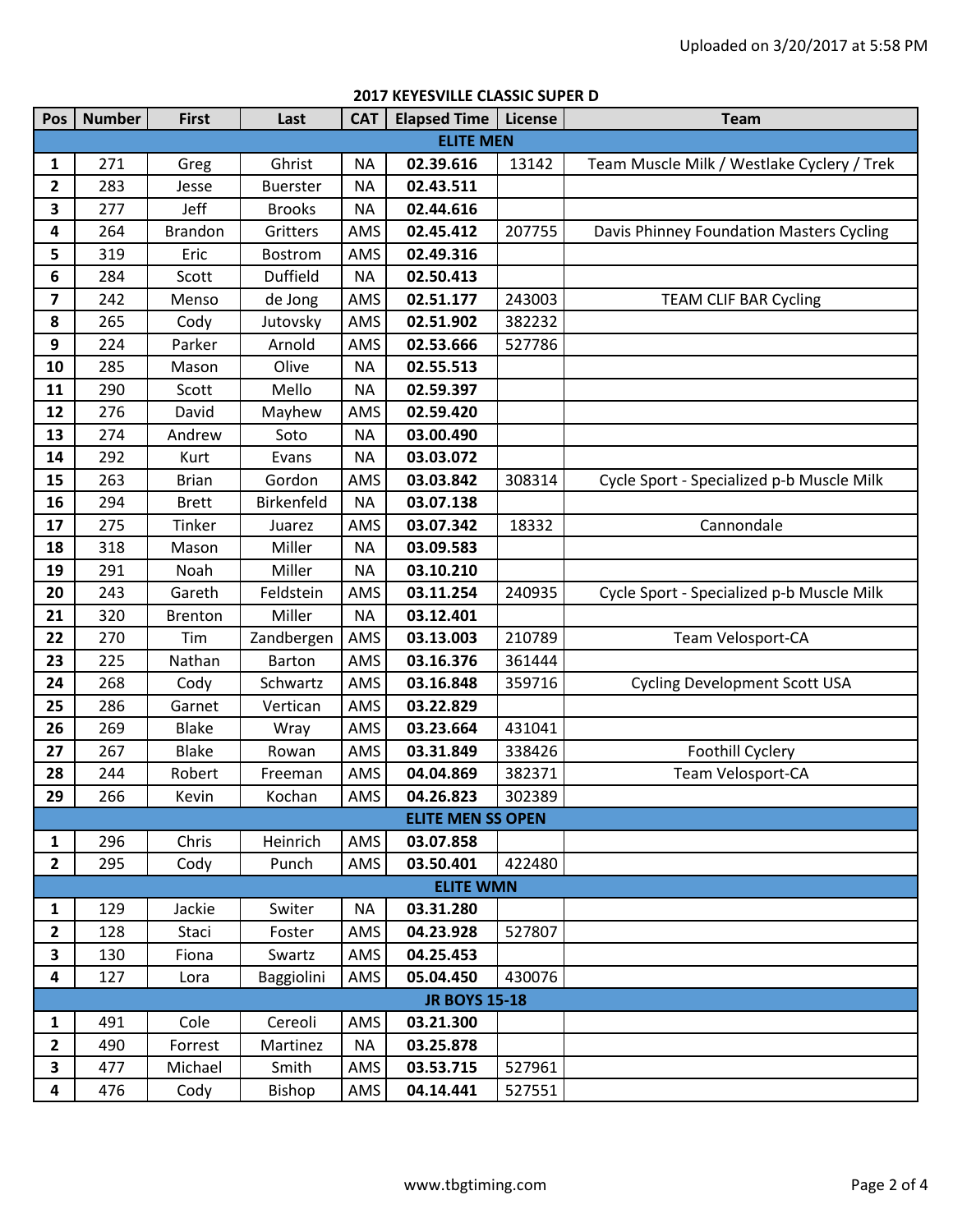| Pos                     | <b>Number</b> | <b>First</b>   | Last            | <b>CAT</b> | <b>Elapsed Time</b>      | <u>KETEJVIELE CEAJJIC JUI EILD</u><br>License | <b>Team</b>                                |  |
|-------------------------|---------------|----------------|-----------------|------------|--------------------------|-----------------------------------------------|--------------------------------------------|--|
|                         |               |                |                 |            | <b>ELITE MEN</b>         |                                               |                                            |  |
| 1                       | 271           | Greg           | Ghrist          | <b>NA</b>  | 02.39.616                | 13142                                         | Team Muscle Milk / Westlake Cyclery / Trek |  |
| 2                       | 283           | Jesse          | <b>Buerster</b> | ΝA         | 02.43.511                |                                               |                                            |  |
| 3                       | 277           | Jeff           | <b>Brooks</b>   | ΝA         | 02.44.616                |                                               |                                            |  |
| 4                       | 264           | <b>Brandon</b> | Gritters        | AMS        | 02.45.412                | 207755                                        | Davis Phinney Foundation Masters Cycling   |  |
| 5                       | 319           | Eric           | Bostrom         | AMS        | 02.49.316                |                                               |                                            |  |
| 6                       | 284           | Scott          | <b>Duffield</b> | <b>NA</b>  | 02.50.413                |                                               |                                            |  |
| $\overline{\mathbf{z}}$ | 242           | Menso          | de Jong         | AMS        | 02.51.177                | 243003                                        | TEAM CLIF BAR Cycling                      |  |
| 8                       | 265           | Cody           | Jutovsky        | AMS        | 02.51.902                | 382232                                        |                                            |  |
| 9                       | 224           | Parker         | Arnold          | AMS        | 02.53.666                | 527786                                        |                                            |  |
| 10                      | 285           | Mason          | Olive           | <b>NA</b>  | 02.55.513                |                                               |                                            |  |
| 11                      | 290           | Scott          | Mello           | <b>NA</b>  | 02.59.397                |                                               |                                            |  |
| 12                      | 276           | David          | Mayhew          | AMS        | 02.59.420                |                                               |                                            |  |
| 13                      | 274           | Andrew         | Soto            | <b>NA</b>  | 03.00.490                |                                               |                                            |  |
| 14                      | 292           | Kurt           | Evans           | <b>NA</b>  | 03.03.072                |                                               |                                            |  |
| 15                      | 263           | <b>Brian</b>   | Gordon          | AMS        | 03.03.842                | 308314                                        | Cycle Sport - Specialized p-b Muscle Milk  |  |
| 16                      | 294           | <b>Brett</b>   | Birkenfeld      | <b>NA</b>  | 03.07.138                |                                               |                                            |  |
| 17                      | 275           | Tinker         | Juarez          | AMS        | 03.07.342                | 18332                                         | Cannondale                                 |  |
| 18                      | 318           | Mason          | Miller          | <b>NA</b>  | 03.09.583                |                                               |                                            |  |
| 19                      | 291           | Noah           | Miller          | <b>NA</b>  | 03.10.210                |                                               |                                            |  |
| 20                      | 243           | Gareth         | Feldstein       | AMS        | 03.11.254                | 240935                                        | Cycle Sport - Specialized p-b Muscle Milk  |  |
| 21                      | 320           | <b>Brenton</b> | Miller          | <b>NA</b>  | 03.12.401                |                                               |                                            |  |
| 22                      | 270           | Tim            | Zandbergen      | AMS        | 03.13.003                | 210789                                        | Team Velosport-CA                          |  |
| 23                      | 225           | Nathan         | Barton          | AMS        | 03.16.376                | 361444                                        |                                            |  |
| 24                      | 268           | Cody           | Schwartz        | AMS        | 03.16.848                | 359716                                        | <b>Cycling Development Scott USA</b>       |  |
| 25                      | 286           | Garnet         | Vertican        | AMS        | 03.22.829                |                                               |                                            |  |
| 26                      | 269           | <b>Blake</b>   | Wray            | AMS        | 03.23.664                | 431041                                        |                                            |  |
| 27                      | 267           | <b>Blake</b>   | Rowan           | AMS        | 03.31.849                | 338426                                        | Foothill Cyclery                           |  |
| 28                      | 244           | Robert         | Freeman         | AMS        | 04.04.869                | 382371                                        | Team Velosport-CA                          |  |
| 29                      | 266           | Kevin          | Kochan          | AMS        | 04.26.823                | 302389                                        |                                            |  |
|                         |               |                |                 |            | <b>ELITE MEN SS OPEN</b> |                                               |                                            |  |
| $\mathbf{1}$            | 296           | Chris          | Heinrich        | AMS        | 03.07.858                |                                               |                                            |  |
| $\overline{2}$          | 295           | Cody           | Punch           | <b>AMS</b> | 03.50.401                | 422480                                        |                                            |  |
|                         |               |                |                 |            | <b>ELITE WMN</b>         |                                               |                                            |  |
| 1                       | 129           | Jackie         | Switer          | <b>NA</b>  | 03.31.280                |                                               |                                            |  |
| 2                       | 128           | Staci          | Foster          | AMS        | 04.23.928                | 527807                                        |                                            |  |
| 3                       | 130           | Fiona          | Swartz          | AMS        | 04.25.453                |                                               |                                            |  |
| 4                       | 127           | Lora           | Baggiolini      | AMS        | 05.04.450                | 430076                                        |                                            |  |
| <b>JR BOYS 15-18</b>    |               |                |                 |            |                          |                                               |                                            |  |
| $\mathbf{1}$            | 491           | Cole           | Cereoli         | AMS        | 03.21.300                |                                               |                                            |  |
| $\mathbf{2}$            | 490           | Forrest        | Martinez        | <b>NA</b>  | 03.25.878                |                                               |                                            |  |
| 3                       | 477           | Michael        | Smith           | AMS        | 03.53.715                | 527961                                        |                                            |  |
| 4                       | 476           | Cody           | Bishop          | AMS        | 04.14.441                | 527551                                        |                                            |  |

## **2017 KEYESVILLE CLASSIC SUPER D**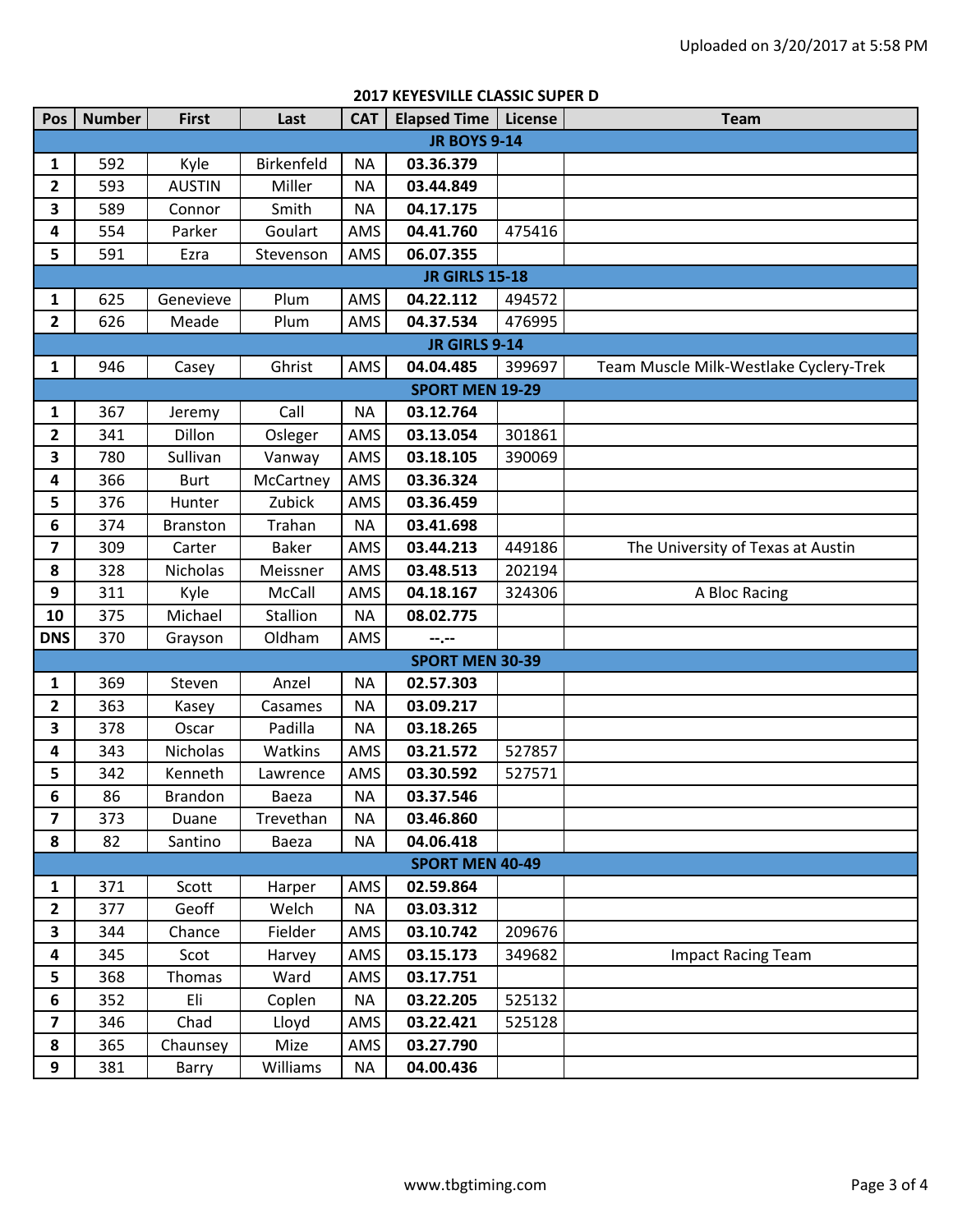| Pos                     | <b>Number</b>         | <b>First</b>    | Last         | <b>CAT</b> | 2017 INCTES VIELE CEASSIC SOT EN B<br><b>Elapsed Time</b> | License | <b>Team</b>                            |  |  |  |
|-------------------------|-----------------------|-----------------|--------------|------------|-----------------------------------------------------------|---------|----------------------------------------|--|--|--|
|                         |                       |                 |              |            |                                                           |         |                                        |  |  |  |
|                         |                       |                 |              |            | <b>JR BOYS 9-14</b>                                       |         |                                        |  |  |  |
| 1                       | 592                   | Kyle            | Birkenfeld   | <b>NA</b>  | 03.36.379                                                 |         |                                        |  |  |  |
| 2                       | 593                   | <b>AUSTIN</b>   | Miller       | <b>NA</b>  | 03.44.849                                                 |         |                                        |  |  |  |
| 3                       | 589                   | Connor          | Smith        | ΝA         | 04.17.175                                                 |         |                                        |  |  |  |
| 4                       | 554                   | Parker          | Goulart      | AMS        | 04.41.760                                                 | 475416  |                                        |  |  |  |
| 5                       | 591                   | Ezra            | Stevenson    | AMS        | 06.07.355                                                 |         |                                        |  |  |  |
|                         | <b>JR GIRLS 15-18</b> |                 |              |            |                                                           |         |                                        |  |  |  |
| 1                       | 625                   | Genevieve       | Plum         | AMS        | 04.22.112                                                 | 494572  |                                        |  |  |  |
| $\mathbf{2}$            | 626                   | Meade           | Plum         | AMS        | 04.37.534                                                 | 476995  |                                        |  |  |  |
|                         |                       |                 |              |            | <b>JR GIRLS 9-14</b>                                      |         |                                        |  |  |  |
| $\mathbf{1}$            | 946                   | Casey           | Ghrist       | AMS        | 04.04.485                                                 | 399697  | Team Muscle Milk-Westlake Cyclery-Trek |  |  |  |
|                         |                       |                 |              |            | <b>SPORT MEN 19-29</b>                                    |         |                                        |  |  |  |
| 1                       | 367                   | Jeremy          | Call         | <b>NA</b>  | 03.12.764                                                 |         |                                        |  |  |  |
| $\mathbf{2}$            | 341                   | Dillon          | Osleger      | AMS        | 03.13.054                                                 | 301861  |                                        |  |  |  |
| 3                       | 780                   | Sullivan        | Vanway       | AMS        | 03.18.105                                                 | 390069  |                                        |  |  |  |
| 4                       | 366                   | <b>Burt</b>     | McCartney    | AMS        | 03.36.324                                                 |         |                                        |  |  |  |
| 5                       | 376                   | Hunter          | Zubick       | AMS        | 03.36.459                                                 |         |                                        |  |  |  |
| 6                       | 374                   | <b>Branston</b> | Trahan       | <b>NA</b>  | 03.41.698                                                 |         |                                        |  |  |  |
| $\overline{\mathbf{z}}$ | 309                   | Carter          | <b>Baker</b> | AMS        | 03.44.213                                                 | 449186  | The University of Texas at Austin      |  |  |  |
| 8                       | 328                   | Nicholas        | Meissner     | AMS        | 03.48.513                                                 | 202194  |                                        |  |  |  |
| 9                       | 311                   | Kyle            | McCall       | AMS        | 04.18.167                                                 | 324306  | A Bloc Racing                          |  |  |  |
| 10                      | 375                   | Michael         | Stallion     | <b>NA</b>  | 08.02.775                                                 |         |                                        |  |  |  |
| <b>DNS</b>              | 370                   | Grayson         | Oldham       | AMS        | --.--                                                     |         |                                        |  |  |  |
|                         |                       |                 |              |            | <b>SPORT MEN 30-39</b>                                    |         |                                        |  |  |  |
| $\mathbf{1}$            | 369                   | Steven          | Anzel        | <b>NA</b>  | 02.57.303                                                 |         |                                        |  |  |  |
| 2                       | 363                   | Kasey           | Casames      | <b>NA</b>  | 03.09.217                                                 |         |                                        |  |  |  |
| 3                       | 378                   | Oscar           | Padilla      | <b>NA</b>  | 03.18.265                                                 |         |                                        |  |  |  |
| 4                       | 343                   | Nicholas        | Watkins      | AMS        | 03.21.572                                                 | 527857  |                                        |  |  |  |
| 5                       | 342                   | Kenneth         | Lawrence     | AMS        | 03.30.592                                                 | 527571  |                                        |  |  |  |
| 6                       | 86                    | Brandon         | Baeza        | $\sf NA$   | 03.37.546                                                 |         |                                        |  |  |  |
| $\overline{\mathbf{z}}$ | 373                   | Duane           | Trevethan    | NA         | 03.46.860                                                 |         |                                        |  |  |  |
| 8                       | 82                    | Santino         | Baeza        | <b>NA</b>  | 04.06.418                                                 |         |                                        |  |  |  |
|                         |                       |                 |              |            | <b>SPORT MEN 40-49</b>                                    |         |                                        |  |  |  |
| $\mathbf{1}$            | 371                   | Scott           | Harper       | AMS        | 02.59.864                                                 |         |                                        |  |  |  |
| $\mathbf{2}$            | 377                   | Geoff           | Welch        | <b>NA</b>  | 03.03.312                                                 |         |                                        |  |  |  |
| 3                       | 344                   | Chance          | Fielder      | AMS        | 03.10.742                                                 | 209676  |                                        |  |  |  |
| 4                       | 345                   | Scot            | Harvey       | AMS        | 03.15.173                                                 | 349682  | <b>Impact Racing Team</b>              |  |  |  |
| 5                       | 368                   | Thomas          | Ward         | AMS        | 03.17.751                                                 |         |                                        |  |  |  |
| 6                       | 352                   | Eli             | Coplen       | <b>NA</b>  | 03.22.205                                                 | 525132  |                                        |  |  |  |
| $\overline{\mathbf{z}}$ | 346                   | Chad            | Lloyd        | AMS        | 03.22.421                                                 | 525128  |                                        |  |  |  |
| 8                       | 365                   | Chaunsey        | Mize         | AMS        | 03.27.790                                                 |         |                                        |  |  |  |
| 9                       | 381                   | Barry           | Williams     | NA         | 04.00.436                                                 |         |                                        |  |  |  |